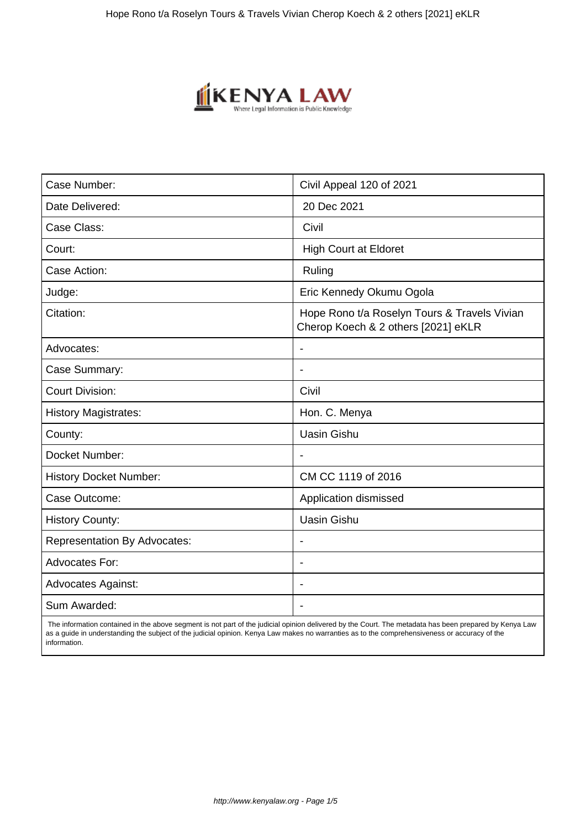

| Case Number:                        | Civil Appeal 120 of 2021                                                            |
|-------------------------------------|-------------------------------------------------------------------------------------|
| Date Delivered:                     | 20 Dec 2021                                                                         |
| Case Class:                         | Civil                                                                               |
| Court:                              | <b>High Court at Eldoret</b>                                                        |
| Case Action:                        | Ruling                                                                              |
| Judge:                              | Eric Kennedy Okumu Ogola                                                            |
| Citation:                           | Hope Rono t/a Roselyn Tours & Travels Vivian<br>Cherop Koech & 2 others [2021] eKLR |
| Advocates:                          |                                                                                     |
| Case Summary:                       |                                                                                     |
| <b>Court Division:</b>              | Civil                                                                               |
| <b>History Magistrates:</b>         | Hon. C. Menya                                                                       |
| County:                             | <b>Uasin Gishu</b>                                                                  |
| Docket Number:                      |                                                                                     |
| <b>History Docket Number:</b>       | CM CC 1119 of 2016                                                                  |
| Case Outcome:                       | Application dismissed                                                               |
| <b>History County:</b>              | <b>Uasin Gishu</b>                                                                  |
| <b>Representation By Advocates:</b> | $\overline{\phantom{a}}$                                                            |
| <b>Advocates For:</b>               | $\overline{\phantom{a}}$                                                            |
| <b>Advocates Against:</b>           |                                                                                     |
| Sum Awarded:                        |                                                                                     |

 The information contained in the above segment is not part of the judicial opinion delivered by the Court. The metadata has been prepared by Kenya Law as a guide in understanding the subject of the judicial opinion. Kenya Law makes no warranties as to the comprehensiveness or accuracy of the information.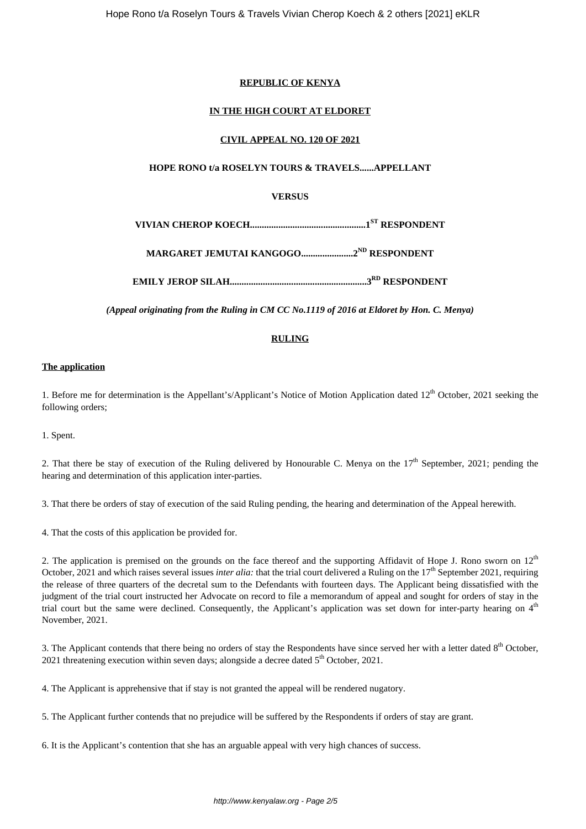# **REPUBLIC OF KENYA**

# **IN THE HIGH COURT AT ELDORET**

# **CIVIL APPEAL NO. 120 OF 2021**

## **HOPE RONO t/a ROSELYN TOURS & TRAVELS......APPELLANT**

# **VERSUS**

**VIVIAN CHEROP KOECH.................................................1ST RESPONDENT**

**MARGARET JEMUTAI KANGOGO......................2ND RESPONDENT**

**EMILY JEROP SILAH..........................................................3RD RESPONDENT**

*(Appeal originating from the Ruling in CM CC No.1119 of 2016 at Eldoret by Hon. C. Menya)*

## **RULING**

#### **The application**

1. Before me for determination is the Appellant's/Applicant's Notice of Motion Application dated  $12<sup>th</sup>$  October, 2021 seeking the following orders;

1. Spent.

2. That there be stay of execution of the Ruling delivered by Honourable C. Menya on the  $17<sup>th</sup>$  September, 2021; pending the hearing and determination of this application inter-parties.

3. That there be orders of stay of execution of the said Ruling pending, the hearing and determination of the Appeal herewith.

4. That the costs of this application be provided for.

2. The application is premised on the grounds on the face thereof and the supporting Affidavit of Hope J. Rono sworn on  $12<sup>th</sup>$ October, 2021 and which raises several issues *inter alia*: that the trial court delivered a Ruling on the 17<sup>th</sup> September 2021, requiring the release of three quarters of the decretal sum to the Defendants with fourteen days. The Applicant being dissatisfied with the judgment of the trial court instructed her Advocate on record to file a memorandum of appeal and sought for orders of stay in the trial court but the same were declined. Consequently, the Applicant's application was set down for inter-party hearing on  $4<sup>th</sup>$ November, 2021.

3. The Applicant contends that there being no orders of stay the Respondents have since served her with a letter dated 8<sup>th</sup> October, 2021 threatening execution within seven days; alongside a decree dated  $5<sup>th</sup>$  October, 2021.

4. The Applicant is apprehensive that if stay is not granted the appeal will be rendered nugatory.

5. The Applicant further contends that no prejudice will be suffered by the Respondents if orders of stay are grant.

6. It is the Applicant's contention that she has an arguable appeal with very high chances of success.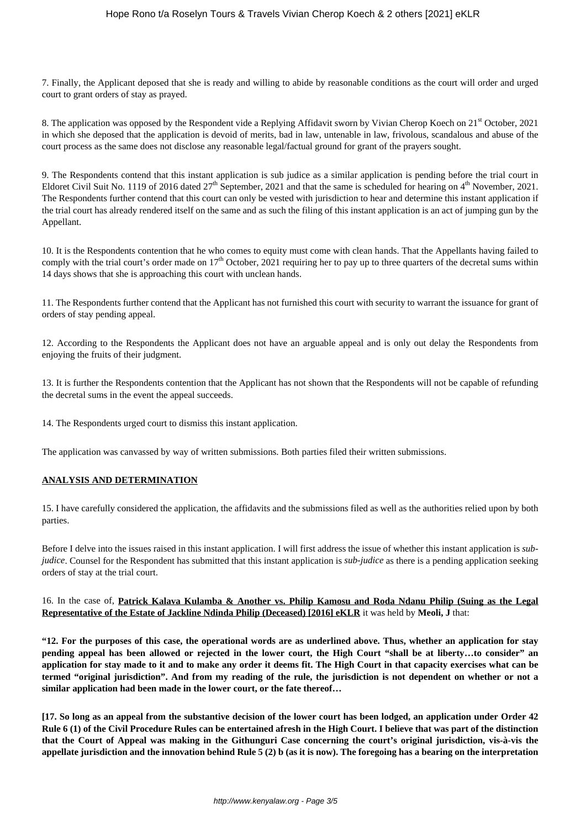7. Finally, the Applicant deposed that she is ready and willing to abide by reasonable conditions as the court will order and urged court to grant orders of stay as prayed.

8. The application was opposed by the Respondent vide a Replying Affidavit sworn by Vivian Cherop Koech on 21<sup>st</sup> October, 2021 in which she deposed that the application is devoid of merits, bad in law, untenable in law, frivolous, scandalous and abuse of the court process as the same does not disclose any reasonable legal/factual ground for grant of the prayers sought.

9. The Respondents contend that this instant application is sub judice as a similar application is pending before the trial court in Eldoret Civil Suit No. 1119 of 2016 dated 27<sup>th</sup> September, 2021 and that the same is scheduled for hearing on 4<sup>th</sup> November, 2021. The Respondents further contend that this court can only be vested with jurisdiction to hear and determine this instant application if the trial court has already rendered itself on the same and as such the filing of this instant application is an act of jumping gun by the Appellant.

10. It is the Respondents contention that he who comes to equity must come with clean hands. That the Appellants having failed to comply with the trial court's order made on  $17<sup>th</sup>$  October, 2021 requiring her to pay up to three quarters of the decretal sums within 14 days shows that she is approaching this court with unclean hands.

11. The Respondents further contend that the Applicant has not furnished this court with security to warrant the issuance for grant of orders of stay pending appeal.

12. According to the Respondents the Applicant does not have an arguable appeal and is only out delay the Respondents from enjoying the fruits of their judgment.

13. It is further the Respondents contention that the Applicant has not shown that the Respondents will not be capable of refunding the decretal sums in the event the appeal succeeds.

14. The Respondents urged court to dismiss this instant application.

The application was canvassed by way of written submissions. Both parties filed their written submissions.

#### **ANALYSIS AND DETERMINATION**

15. I have carefully considered the application, the affidavits and the submissions filed as well as the authorities relied upon by both parties.

Before I delve into the issues raised in this instant application. I will first address the issue of whether this instant application is *subjudice*. Counsel for the Respondent has submitted that this instant application is *sub-judice* as there is a pending application seeking orders of stay at the trial court.

## 16. In the case of, **Patrick Kalava Kulamba & Another vs. Philip Kamosu and Roda Ndanu Philip (Suing as the Legal Representative of the Estate of Jackline Ndinda Philip (Deceased) [2016] eKLR** it was held by **Meoli, J** that:

**"12. For the purposes of this case, the operational words are as underlined above. Thus, whether an application for stay pending appeal has been allowed or rejected in the lower court, the High Court "shall be at liberty…to consider" an application for stay made to it and to make any order it deems fit. The High Court in that capacity exercises what can be termed "original jurisdiction". And from my reading of the rule, the jurisdiction is not dependent on whether or not a similar application had been made in the lower court, or the fate thereof…**

**[17. So long as an appeal from the substantive decision of the lower court has been lodged, an application under Order 42 Rule 6 (1) of the Civil Procedure Rules can be entertained afresh in the High Court. I believe that was part of the distinction that the Court of Appeal was making in the Githunguri Case concerning the court's original jurisdiction, vis-à-vis the appellate jurisdiction and the innovation behind Rule 5 (2) b (as it is now). The foregoing has a bearing on the interpretation**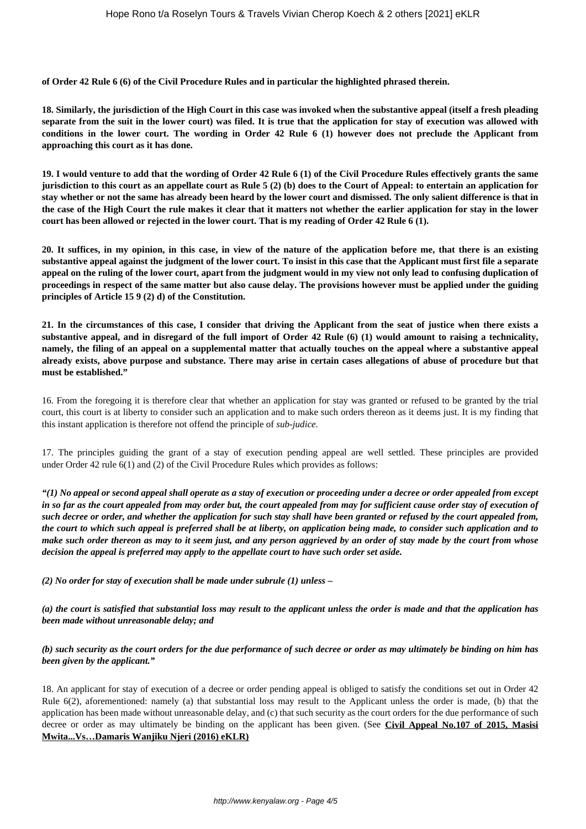**of Order 42 Rule 6 (6) of the Civil Procedure Rules and in particular the highlighted phrased therein.**

**18. Similarly, the jurisdiction of the High Court in this case was invoked when the substantive appeal (itself a fresh pleading separate from the suit in the lower court) was filed. It is true that the application for stay of execution was allowed with conditions in the lower court. The wording in Order 42 Rule 6 (1) however does not preclude the Applicant from approaching this court as it has done.**

**19. I would venture to add that the wording of Order 42 Rule 6 (1) of the Civil Procedure Rules effectively grants the same jurisdiction to this court as an appellate court as Rule 5 (2) (b) does to the Court of Appeal: to entertain an application for stay whether or not the same has already been heard by the lower court and dismissed. The only salient difference is that in the case of the High Court the rule makes it clear that it matters not whether the earlier application for stay in the lower court has been allowed or rejected in the lower court. That is my reading of Order 42 Rule 6 (1).**

**20. It suffices, in my opinion, in this case, in view of the nature of the application before me, that there is an existing substantive appeal against the judgment of the lower court. To insist in this case that the Applicant must first file a separate appeal on the ruling of the lower court, apart from the judgment would in my view not only lead to confusing duplication of proceedings in respect of the same matter but also cause delay. The provisions however must be applied under the guiding principles of Article 15 9 (2) d) of the Constitution.**

**21. In the circumstances of this case, I consider that driving the Applicant from the seat of justice when there exists a substantive appeal, and in disregard of the full import of Order 42 Rule (6) (1) would amount to raising a technicality, namely, the filing of an appeal on a supplemental matter that actually touches on the appeal where a substantive appeal already exists, above purpose and substance. There may arise in certain cases allegations of abuse of procedure but that must be established."**

16. From the foregoing it is therefore clear that whether an application for stay was granted or refused to be granted by the trial court, this court is at liberty to consider such an application and to make such orders thereon as it deems just. It is my finding that this instant application is therefore not offend the principle of *sub-judice*.

17. The principles guiding the grant of a stay of execution pending appeal are well settled. These principles are provided under Order 42 rule 6(1) and (2) of the Civil Procedure Rules which provides as follows:

*"(1) No appeal or second appeal shall operate as a stay of execution or proceeding under a decree or order appealed from except in so far as the court appealed from may order but, the court appealed from may for sufficient cause order stay of execution of such decree or order, and whether the application for such stay shall have been granted or refused by the court appealed from, the court to which such appeal is preferred shall be at liberty, on application being made, to consider such application and to make such order thereon as may to it seem just, and any person aggrieved by an order of stay made by the court from whose decision the appeal is preferred may apply to the appellate court to have such order set aside.*

*(2) No order for stay of execution shall be made under subrule (1) unless –*

*(a) the court is satisfied that substantial loss may result to the applicant unless the order is made and that the application has been made without unreasonable delay; and*

## *(b) such security as the court orders for the due performance of such decree or order as may ultimately be binding on him has been given by the applicant."*

18. An applicant for stay of execution of a decree or order pending appeal is obliged to satisfy the conditions set out in Order 42 Rule 6(2), aforementioned: namely (a) that substantial loss may result to the Applicant unless the order is made, (b) that the application has been made without unreasonable delay, and (c) that such security as the court orders for the due performance of such decree or order as may ultimately be binding on the applicant has been given. (See **Civil Appeal No.107 of 2015, Masisi Mwita...Vs…Damaris Wanjiku Njeri (2016) eKLR)**